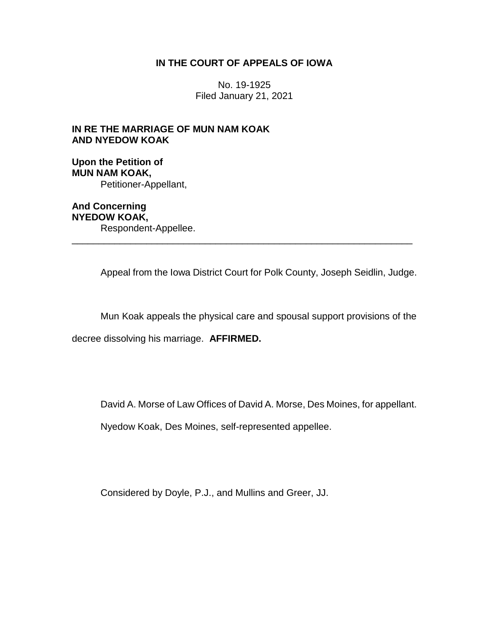# **IN THE COURT OF APPEALS OF IOWA**

No. 19-1925 Filed January 21, 2021

# **IN RE THE MARRIAGE OF MUN NAM KOAK AND NYEDOW KOAK**

**Upon the Petition of MUN NAM KOAK,** Petitioner-Appellant,

**And Concerning NYEDOW KOAK,** Respondent-Appellee.

Appeal from the Iowa District Court for Polk County, Joseph Seidlin, Judge.

\_\_\_\_\_\_\_\_\_\_\_\_\_\_\_\_\_\_\_\_\_\_\_\_\_\_\_\_\_\_\_\_\_\_\_\_\_\_\_\_\_\_\_\_\_\_\_\_\_\_\_\_\_\_\_\_\_\_\_\_\_\_\_\_

Mun Koak appeals the physical care and spousal support provisions of the

decree dissolving his marriage. **AFFIRMED.**

David A. Morse of Law Offices of David A. Morse, Des Moines, for appellant.

Nyedow Koak, Des Moines, self-represented appellee.

Considered by Doyle, P.J., and Mullins and Greer, JJ.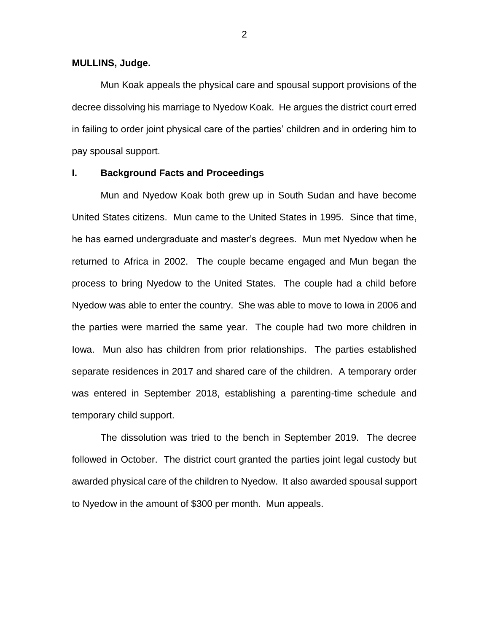#### **MULLINS, Judge.**

Mun Koak appeals the physical care and spousal support provisions of the decree dissolving his marriage to Nyedow Koak. He argues the district court erred in failing to order joint physical care of the parties' children and in ordering him to pay spousal support.

## **I. Background Facts and Proceedings**

Mun and Nyedow Koak both grew up in South Sudan and have become United States citizens. Mun came to the United States in 1995. Since that time, he has earned undergraduate and master's degrees. Mun met Nyedow when he returned to Africa in 2002. The couple became engaged and Mun began the process to bring Nyedow to the United States. The couple had a child before Nyedow was able to enter the country. She was able to move to Iowa in 2006 and the parties were married the same year. The couple had two more children in Iowa. Mun also has children from prior relationships. The parties established separate residences in 2017 and shared care of the children. A temporary order was entered in September 2018, establishing a parenting-time schedule and temporary child support.

The dissolution was tried to the bench in September 2019. The decree followed in October. The district court granted the parties joint legal custody but awarded physical care of the children to Nyedow. It also awarded spousal support to Nyedow in the amount of \$300 per month. Mun appeals.

2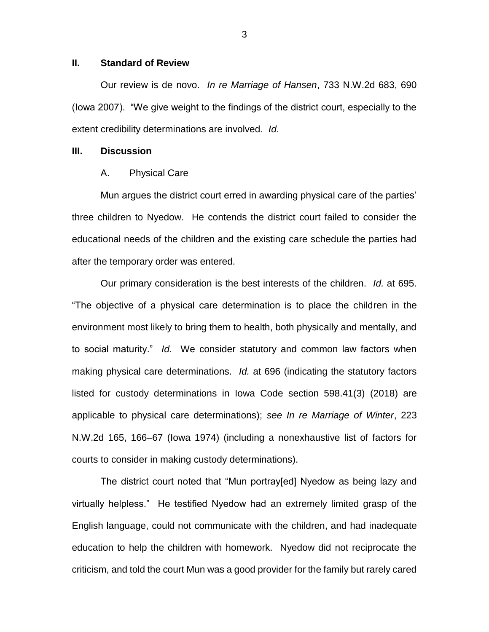### **II. Standard of Review**

Our review is de novo. *In re Marriage of Hansen*, 733 N.W.2d 683, 690 (Iowa 2007). "We give weight to the findings of the district court, especially to the extent credibility determinations are involved. *Id.*

### **III. Discussion**

#### A. Physical Care

Mun argues the district court erred in awarding physical care of the parties' three children to Nyedow. He contends the district court failed to consider the educational needs of the children and the existing care schedule the parties had after the temporary order was entered.

Our primary consideration is the best interests of the children. *Id.* at 695. "The objective of a physical care determination is to place the children in the environment most likely to bring them to health, both physically and mentally, and to social maturity." *Id.* We consider statutory and common law factors when making physical care determinations. *Id.* at 696 (indicating the statutory factors listed for custody determinations in Iowa Code section 598.41(3) (2018) are applicable to physical care determinations); *see In re Marriage of Winter*, 223 N.W.2d 165, 166–67 (Iowa 1974) (including a nonexhaustive list of factors for courts to consider in making custody determinations).

The district court noted that "Mun portray[ed] Nyedow as being lazy and virtually helpless." He testified Nyedow had an extremely limited grasp of the English language, could not communicate with the children, and had inadequate education to help the children with homework. Nyedow did not reciprocate the criticism, and told the court Mun was a good provider for the family but rarely cared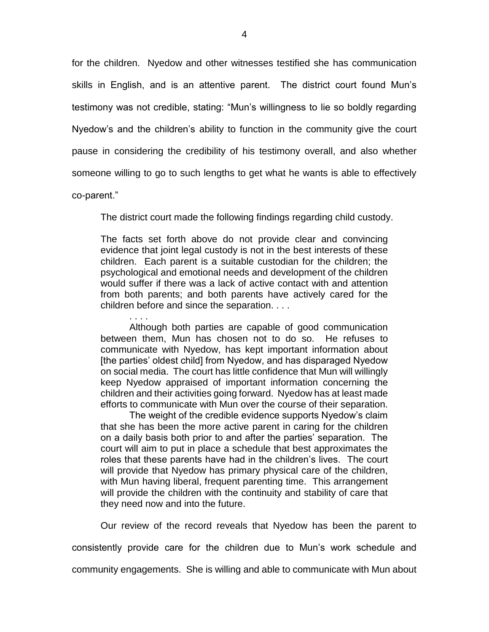for the children. Nyedow and other witnesses testified she has communication skills in English, and is an attentive parent. The district court found Mun's testimony was not credible, stating: "Mun's willingness to lie so boldly regarding Nyedow's and the children's ability to function in the community give the court pause in considering the credibility of his testimony overall, and also whether someone willing to go to such lengths to get what he wants is able to effectively

co-parent."

The district court made the following findings regarding child custody.

The facts set forth above do not provide clear and convincing evidence that joint legal custody is not in the best interests of these children. Each parent is a suitable custodian for the children; the psychological and emotional needs and development of the children would suffer if there was a lack of active contact with and attention from both parents; and both parents have actively cared for the children before and since the separation. . . .

. . . . Although both parties are capable of good communication between them, Mun has chosen not to do so. He refuses to communicate with Nyedow, has kept important information about [the parties' oldest child] from Nyedow, and has disparaged Nyedow on social media. The court has little confidence that Mun will willingly keep Nyedow appraised of important information concerning the children and their activities going forward. Nyedow has at least made efforts to communicate with Mun over the course of their separation.

The weight of the credible evidence supports Nyedow's claim that she has been the more active parent in caring for the children on a daily basis both prior to and after the parties' separation. The court will aim to put in place a schedule that best approximates the roles that these parents have had in the children's lives. The court will provide that Nyedow has primary physical care of the children, with Mun having liberal, frequent parenting time. This arrangement will provide the children with the continuity and stability of care that they need now and into the future.

Our review of the record reveals that Nyedow has been the parent to consistently provide care for the children due to Mun's work schedule and community engagements. She is willing and able to communicate with Mun about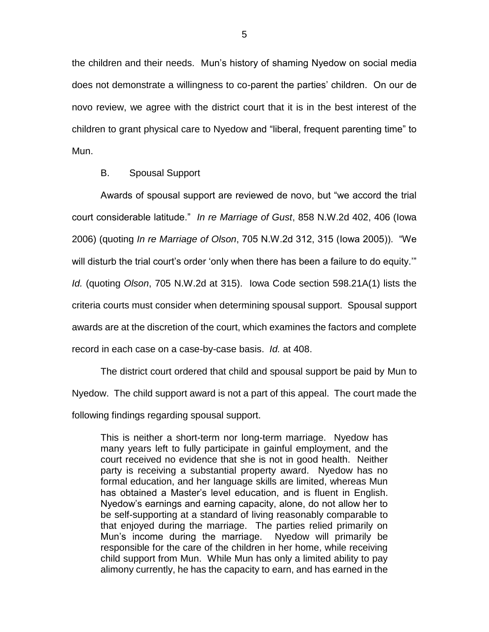the children and their needs. Mun's history of shaming Nyedow on social media does not demonstrate a willingness to co-parent the parties' children. On our de novo review, we agree with the district court that it is in the best interest of the children to grant physical care to Nyedow and "liberal, frequent parenting time" to Mun.

#### B. Spousal Support

Awards of spousal support are reviewed de novo, but "we accord the trial court considerable latitude." *In re Marriage of Gust*, 858 N.W.2d 402, 406 (Iowa 2006) (quoting *In re Marriage of Olson*, 705 N.W.2d 312, 315 (Iowa 2005)). "We will disturb the trial court's order 'only when there has been a failure to do equity.'" *Id.* (quoting *Olson*, 705 N.W.2d at 315). Iowa Code section 598.21A(1) lists the criteria courts must consider when determining spousal support. Spousal support awards are at the discretion of the court, which examines the factors and complete record in each case on a case-by-case basis. *Id.* at 408.

The district court ordered that child and spousal support be paid by Mun to Nyedow. The child support award is not a part of this appeal. The court made the following findings regarding spousal support.

This is neither a short-term nor long-term marriage. Nyedow has many years left to fully participate in gainful employment, and the court received no evidence that she is not in good health. Neither party is receiving a substantial property award. Nyedow has no formal education, and her language skills are limited, whereas Mun has obtained a Master's level education, and is fluent in English. Nyedow's earnings and earning capacity, alone, do not allow her to be self-supporting at a standard of living reasonably comparable to that enjoyed during the marriage. The parties relied primarily on Mun's income during the marriage. Nyedow will primarily be responsible for the care of the children in her home, while receiving child support from Mun. While Mun has only a limited ability to pay alimony currently, he has the capacity to earn, and has earned in the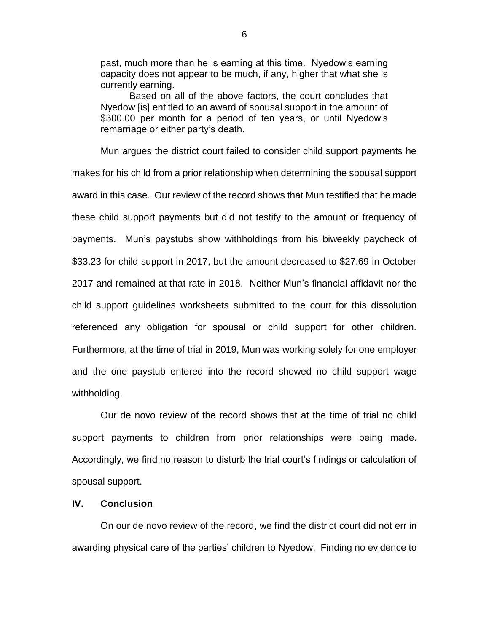past, much more than he is earning at this time. Nyedow's earning capacity does not appear to be much, if any, higher that what she is currently earning.

Based on all of the above factors, the court concludes that Nyedow [is] entitled to an award of spousal support in the amount of \$300.00 per month for a period of ten years, or until Nyedow's remarriage or either party's death.

Mun argues the district court failed to consider child support payments he makes for his child from a prior relationship when determining the spousal support award in this case. Our review of the record shows that Mun testified that he made these child support payments but did not testify to the amount or frequency of payments. Mun's paystubs show withholdings from his biweekly paycheck of \$33.23 for child support in 2017, but the amount decreased to \$27.69 in October 2017 and remained at that rate in 2018. Neither Mun's financial affidavit nor the child support guidelines worksheets submitted to the court for this dissolution referenced any obligation for spousal or child support for other children. Furthermore, at the time of trial in 2019, Mun was working solely for one employer and the one paystub entered into the record showed no child support wage withholding.

Our de novo review of the record shows that at the time of trial no child support payments to children from prior relationships were being made. Accordingly, we find no reason to disturb the trial court's findings or calculation of spousal support.

#### **IV. Conclusion**

On our de novo review of the record, we find the district court did not err in awarding physical care of the parties' children to Nyedow. Finding no evidence to